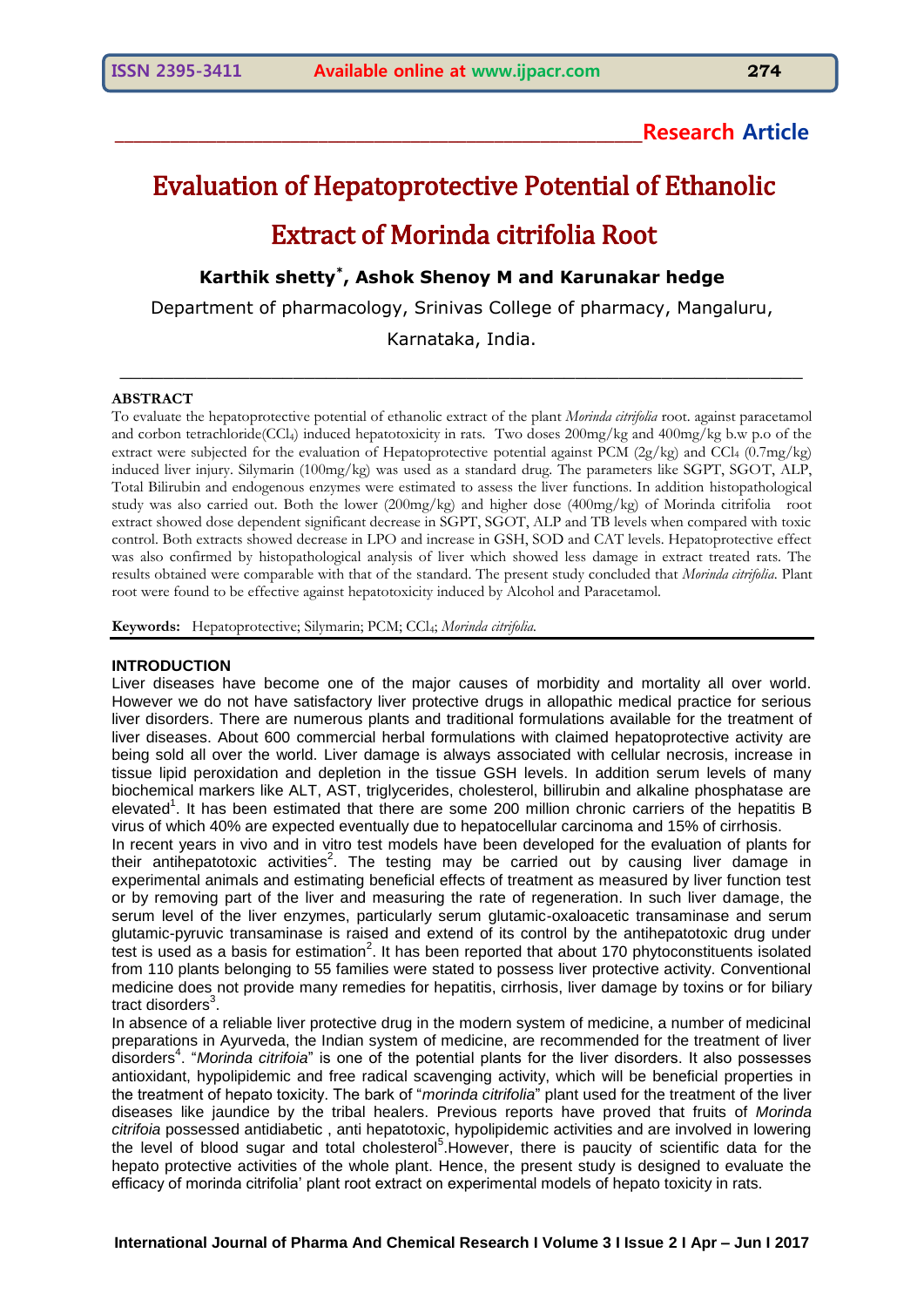# **\_\_\_\_\_\_\_\_\_\_\_\_\_\_\_\_\_\_\_\_\_\_\_\_\_\_\_\_\_\_\_\_\_\_\_\_\_\_\_\_\_\_\_\_\_\_\_\_\_\_\_\_\_\_\_\_\_Research Article**

# Evaluation of Hepatoprotective Potential of Ethanolic Extract of Morinda citrifolia Root

**Karthik shetty\* , Ashok Shenoy M and Karunakar hedge**

Department of pharmacology, Srinivas College of pharmacy, Mangaluru, Karnataka, India.

 $\_$  , and the contribution of the contribution of  $\mathcal{L}_\mathcal{A}$  , and the contribution of  $\mathcal{L}_\mathcal{A}$ 

#### **ABSTRACT**

To evaluate the hepatoprotective potential of ethanolic extract of the plant *Morinda citrifolia* root. against paracetamol and corbon tetrachloride(CCl4) induced hepatotoxicity in rats. Two doses 200mg/kg and 400mg/kg b.w p.o of the extract were subjected for the evaluation of Hepatoprotective potential against PCM  $(2g/kg)$  and CCl<sub>4</sub> (0.7mg/kg) induced liver injury. Silymarin (100mg/kg) was used as a standard drug. The parameters like SGPT, SGOT, ALP, Total Bilirubin and endogenous enzymes were estimated to assess the liver functions. In addition histopathological study was also carried out. Both the lower (200mg/kg) and higher dose (400mg/kg) of Morinda citrifoliaroot extract showed dose dependent significant decrease in SGPT, SGOT, ALP and TB levels when compared with toxic control. Both extracts showed decrease in LPO and increase in GSH, SOD and CAT levels. Hepatoprotective effect was also confirmed by histopathological analysis of liver which showed less damage in extract treated rats. The results obtained were comparable with that of the standard. The present study concluded that *Morinda citrifolia*. Plant root were found to be effective against hepatotoxicity induced by Alcohol and Paracetamol.

**Keywords:** Hepatoprotective; Silymarin; PCM; CCl4; *Morinda citrifolia.*

#### **INTRODUCTION**

Liver diseases have become one of the major causes of morbidity and mortality all over world. However we do not have satisfactory liver protective drugs in allopathic medical practice for serious liver disorders. There are numerous plants and traditional formulations available for the treatment of liver diseases. About 600 commercial herbal formulations with claimed hepatoprotective activity are being sold all over the world. Liver damage is always associated with cellular necrosis, increase in tissue lipid peroxidation and depletion in the tissue GSH levels. In addition serum levels of many biochemical markers like ALT, AST, triglycerides, cholesterol, billirubin and alkaline phosphatase are elevated<sup>1</sup>. It has been estimated that there are some 200 million chronic carriers of the hepatitis B virus of which 40% are expected eventually due to hepatocellular carcinoma and 15% of cirrhosis.

In recent years in vivo and in vitro test models have been developed for the evaluation of plants for their antihepatotoxic activities<sup>2</sup>. The testing may be carried out by causing liver damage in experimental animals and estimating beneficial effects of treatment as measured by liver function test or by removing part of the liver and measuring the rate of regeneration. In such liver damage, the serum level of the liver enzymes, particularly serum glutamic-oxaloacetic transaminase and serum glutamic-pyruvic transaminase is raised and extend of its control by the antihepatotoxic drug under test is used as a basis for estimation<sup>2</sup>. It has been reported that about 170 phytoconstituents isolated from 110 plants belonging to 55 families were stated to possess liver protective activity. Conventional medicine does not provide many remedies for hepatitis, cirrhosis, liver damage by toxins or for biliary tract disorders<sup>3</sup>.

In absence of a reliable liver protective drug in the modern system of medicine, a number of medicinal preparations in Ayurveda, the Indian system of medicine, are recommended for the treatment of liver disorders<sup>4</sup>. "Morinda citrifoia" is one of the potential plants for the liver disorders. It also possesses antioxidant, hypolipidemic and free radical scavenging activity, which will be beneficial properties in the treatment of hepato toxicity. The bark of "*morinda citrifolia*" plant used for the treatment of the liver diseases like jaundice by the tribal healers. Previous reports have proved that fruits of *Morinda citrifoia* possessed antidiabetic , anti hepatotoxic, hypolipidemic activities and are involved in lowering the level of blood sugar and total cholesterol<sup>5</sup>. However, there is paucity of scientific data for the hepato protective activities of the whole plant. Hence, the present study is designed to evaluate the efficacy of morinda citrifolia' plant root extract on experimental models of hepato toxicity in rats.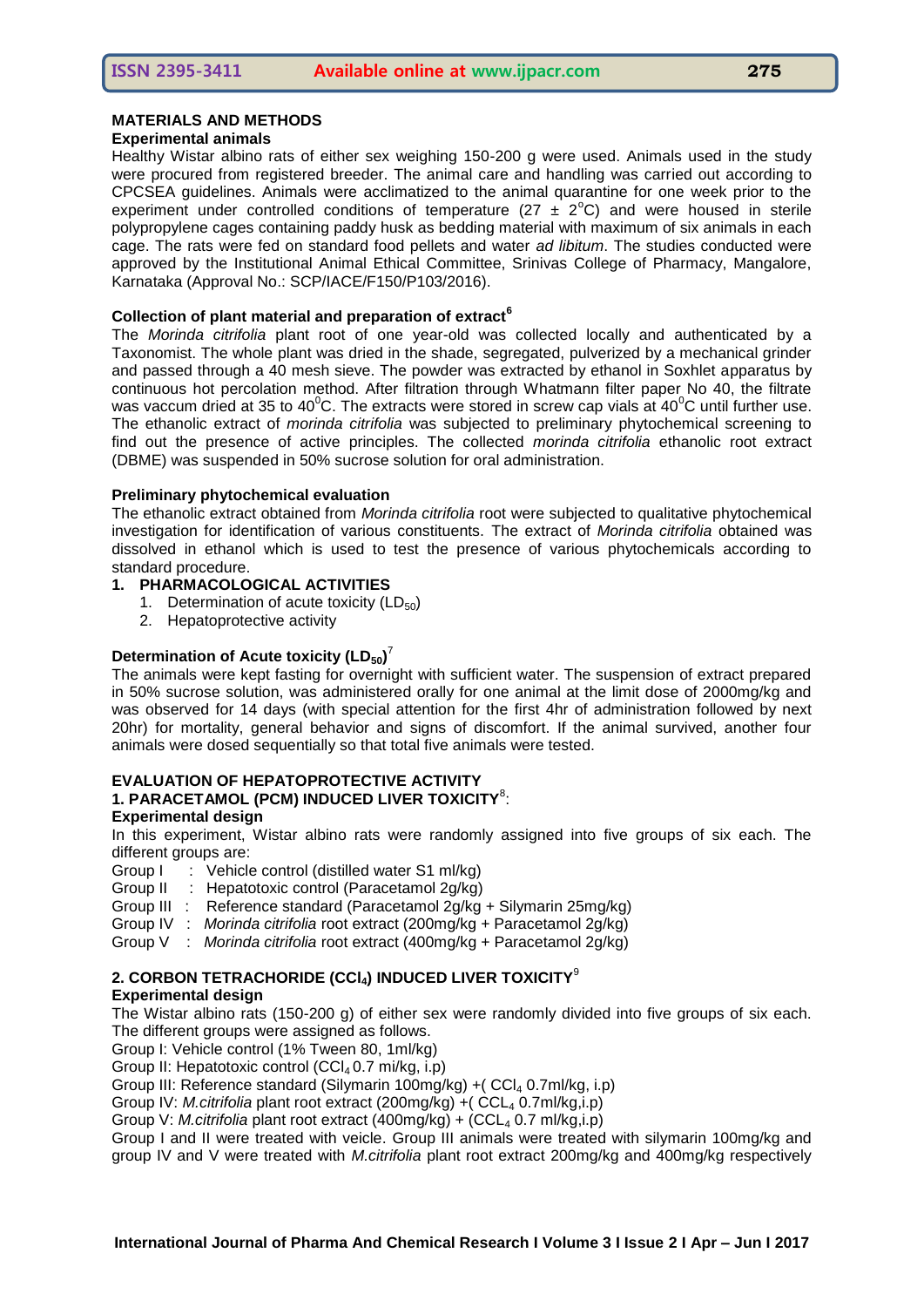#### **Experimental animals**

Healthy Wistar albino rats of either sex weighing 150-200 g were used. Animals used in the study were procured from registered breeder. The animal care and handling was carried out according to CPCSEA guidelines. Animals were acclimatized to the animal quarantine for one week prior to the experiment under controlled conditions of temperature (27  $\pm$  2°C) and were housed in sterile polypropylene cages containing paddy husk as bedding material with maximum of six animals in each cage. The rats were fed on standard food pellets and water *ad libitum*. The studies conducted were approved by the Institutional Animal Ethical Committee, Srinivas College of Pharmacy, Mangalore, Karnataka (Approval No.: SCP/IACE/F150/P103/2016).

#### **Collection of plant material and preparation of extract<sup>6</sup>**

The *Morinda citrifolia* plant root of one year-old was collected locally and authenticated by a Taxonomist. The whole plant was dried in the shade, segregated, pulverized by a mechanical grinder and passed through a 40 mesh sieve. The powder was extracted by ethanol in Soxhlet apparatus by continuous hot percolation method. After filtration through Whatmann filter paper No 40, the filtrate was vaccum dried at 35 to 40<sup>°</sup>C. The extracts were stored in screw cap vials at 40<sup>°</sup>C until further use. The ethanolic extract of *morinda citrifolia* was subjected to preliminary phytochemical screening to find out the presence of active principles. The collected *morinda citrifolia* ethanolic root extract (DBME) was suspended in 50% sucrose solution for oral administration.

#### **Preliminary phytochemical evaluation**

The ethanolic extract obtained from *Morinda citrifolia* root were subjected to qualitative phytochemical investigation for identification of various constituents. The extract of *Morinda citrifolia* obtained was dissolved in ethanol which is used to test the presence of various phytochemicals according to standard procedure.

# **1. PHARMACOLOGICAL ACTIVITIES**

- 1. Determination of acute toxicity  $(LD_{50})$
- 2. Hepatoprotective activity

# Determination of Acute toxicity (LD<sub>50</sub>)<sup>7</sup>

The animals were kept fasting for overnight with sufficient water. The suspension of extract prepared in 50% sucrose solution, was administered orally for one animal at the limit dose of 2000mg/kg and was observed for 14 days (with special attention for the first 4hr of administration followed by next 20hr) for mortality, general behavior and signs of discomfort. If the animal survived, another four animals were dosed sequentially so that total five animals were tested.

#### **EVALUATION OF HEPATOPROTECTIVE ACTIVITY 1. PARACETAMOL (PCM) INDUCED LIVER TOXICITY**<sup>8</sup> :

#### **Experimental design**

In this experiment, Wistar albino rats were randomly assigned into five groups of six each. The different groups are:

- Group I : Vehicle control (distilled water S1 ml/kg)
- Group II : Hepatotoxic control (Paracetamol 2g/kg)
- Group III : Reference standard (Paracetamol 2g/kg + Silymarin 25mg/kg)
- Group IV : *Morinda citrifolia* root extract (200mg/kg + Paracetamol 2g/kg)
- Group V : *Morinda citrifolia* root extract (400mg/kg + Paracetamol 2g/kg)

# **2. CORBON TETRACHORIDE (CCl4) INDUCED LIVER TOXICITY**<sup>9</sup>

# **Experimental design**

The Wistar albino rats (150-200 g) of either sex were randomly divided into five groups of six each. The different groups were assigned as follows.

Group I: Vehicle control (1% Tween 80, 1ml/kg)

Group II: Hepatotoxic control  $(CCl<sub>4</sub> 0.7 mi/kg, i.p)$ 

Group III: Reference standard (Silymarin 100mg/kg) + (CCl<sub>4</sub> 0.7ml/kg, i.p)

Group IV: *M.citrifolia* plant root extract (200mg/kg) +( CCL<sub>4</sub> 0.7ml/kg,i.p)

Group V: *M.citrifolia* plant root extract (400mg/kg) + (CCL<sub>4</sub> 0.7 ml/kg,i.p)

Group I and II were treated with veicle. Group III animals were treated with silymarin 100mg/kg and group IV and V were treated with *M.citrifolia* plant root extract 200mg/kg and 400mg/kg respectively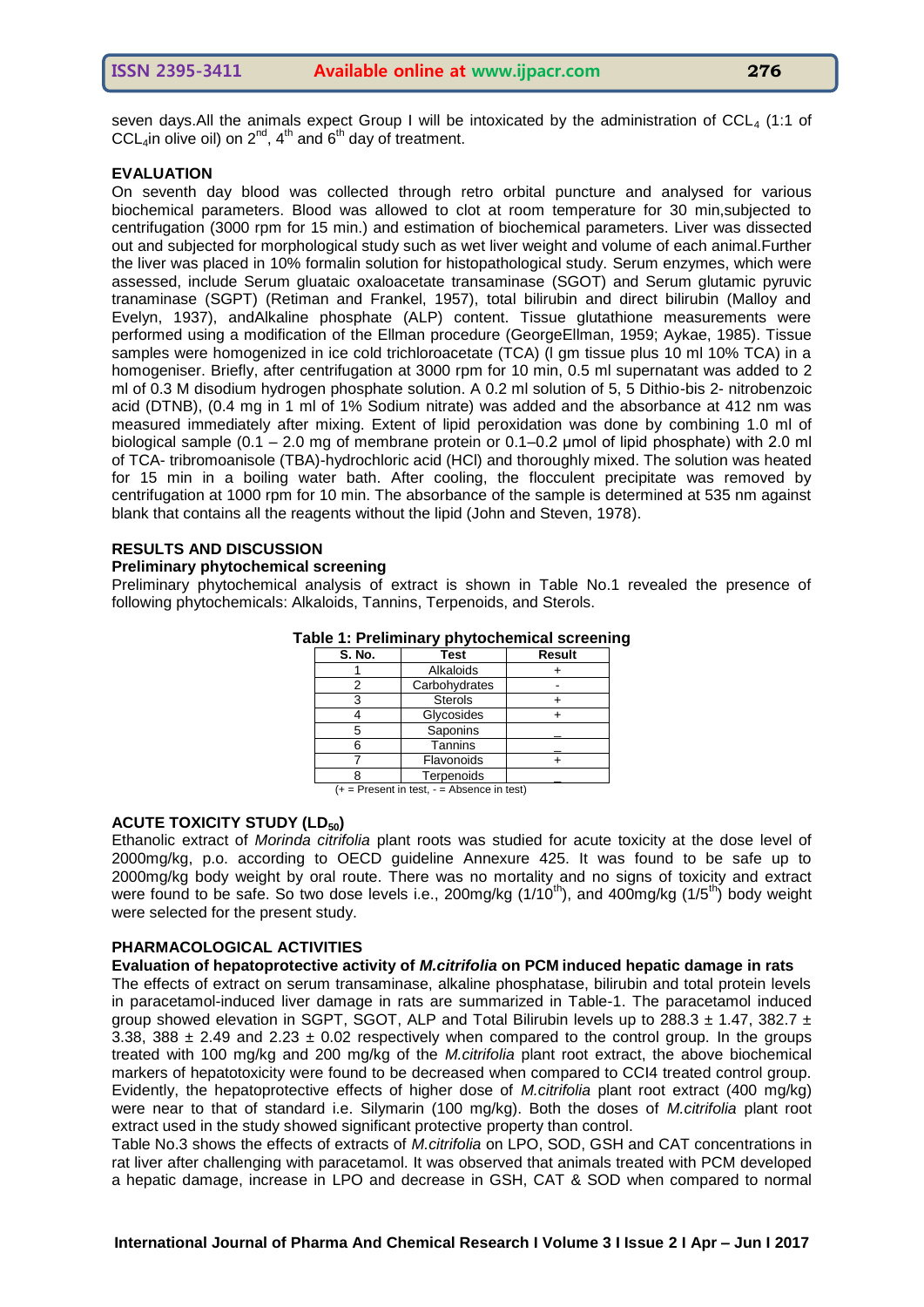seven days. All the animals expect Group I will be intoxicated by the administration of  $CCL<sub>4</sub>$  (1:1 of CCL<sub>4</sub>in olive oil) on  $2^{nd}$ ,  $4^{th}$  and  $6^{th}$  day of treatment.

# **EVALUATION**

On seventh day blood was collected through retro orbital puncture and analysed for various biochemical parameters. Blood was allowed to clot at room temperature for 30 min,subjected to centrifugation (3000 rpm for 15 min.) and estimation of biochemical parameters. Liver was dissected out and subjected for morphological study such as wet liver weight and volume of each animal.Further the liver was placed in 10% formalin solution for histopathological study. Serum enzymes, which were assessed, include Serum gluataic oxaloacetate transaminase (SGOT) and Serum glutamic pyruvic tranaminase (SGPT) (Retiman and Frankel, 1957), total bilirubin and direct bilirubin (Malloy and Evelyn, 1937), andAlkaline phosphate (ALP) content. Tissue glutathione measurements were performed using a modification of the Ellman procedure (GeorgeEllman, 1959; Aykae, 1985). Tissue samples were homogenized in ice cold trichloroacetate (TCA) (l gm tissue plus 10 ml 10% TCA) in a homogeniser. Briefly, after centrifugation at 3000 rpm for 10 min, 0.5 ml supernatant was added to 2 ml of 0.3 M disodium hydrogen phosphate solution. A 0.2 ml solution of 5, 5 Dithio-bis 2- nitrobenzoic acid (DTNB), (0.4 mg in 1 ml of 1% Sodium nitrate) was added and the absorbance at 412 nm was measured immediately after mixing. Extent of lipid peroxidation was done by combining 1.0 ml of biological sample (0.1 – 2.0 mg of membrane protein or 0.1–0.2 μmol of lipid phosphate) with 2.0 ml of TCA- tribromoanisole (TBA)-hydrochloric acid (HCl) and thoroughly mixed. The solution was heated for 15 min in a boiling water bath. After cooling, the flocculent precipitate was removed by centrifugation at 1000 rpm for 10 min. The absorbance of the sample is determined at 535 nm against blank that contains all the reagents without the lipid (John and Steven, 1978).

# **RESULTS AND DISCUSSION**

# **Preliminary phytochemical screening**

Preliminary phytochemical analysis of extract is shown in Table No.1 revealed the presence of following phytochemicals: Alkaloids, Tannins, Terpenoids, and Sterols.

| <b>S. No.</b> | Test           | <b>Result</b> |  |  |  |
|---------------|----------------|---------------|--|--|--|
|               | Alkaloids      |               |  |  |  |
|               | Carbohydrates  |               |  |  |  |
| 3             | <b>Sterols</b> |               |  |  |  |
|               | Glycosides     |               |  |  |  |
|               | Saponins       |               |  |  |  |
|               | Tannins        |               |  |  |  |
|               | Flavonoids     |               |  |  |  |
|               | Terpenoids     |               |  |  |  |

# **Table 1: Preliminary phytochemical screening**

 $(+)$  = Present in test,  $-$  = Absence in test)

# **ACUTE TOXICITY STUDY (LD50)**

Ethanolic extract of *Morinda citrifolia* plant roots was studied for acute toxicity at the dose level of 2000mg/kg, p.o. according to OECD guideline Annexure 425. It was found to be safe up to 2000mg/kg body weight by oral route. There was no mortality and no signs of toxicity and extract were found to be safe. So two dose levels i.e., 200mg/kg (1/10<sup>th</sup>), and 400mg/kg (1/5<sup>th</sup>) body weight were selected for the present study.

# **PHARMACOLOGICAL ACTIVITIES**

# **Evaluation of hepatoprotective activity of** *M.citrifolia* **on PCM induced hepatic damage in rats**

The effects of extract on serum transaminase, alkaline phosphatase, bilirubin and total protein levels in paracetamol-induced liver damage in rats are summarized in Table-1. The paracetamol induced group showed elevation in SGPT, SGOT, ALP and Total Bilirubin levels up to 288.3  $\pm$  1.47, 382.7  $\pm$ 3.38, 388  $\pm$  2.49 and 2.23  $\pm$  0.02 respectively when compared to the control group. In the groups treated with 100 mg/kg and 200 mg/kg of the *M.citrifolia* plant root extract, the above biochemical markers of hepatotoxicity were found to be decreased when compared to CCI4 treated control group. Evidently, the hepatoprotective effects of higher dose of *M.citrifolia* plant root extract (400 mg/kg) were near to that of standard i.e. Silymarin (100 mg/kg). Both the doses of *M.citrifolia* plant root extract used in the study showed significant protective property than control.

Table No.3 shows the effects of extracts of *M.citrifolia* on LPO, SOD, GSH and CAT concentrations in rat liver after challenging with paracetamol. It was observed that animals treated with PCM developed a hepatic damage, increase in LPO and decrease in GSH, CAT & SOD when compared to normal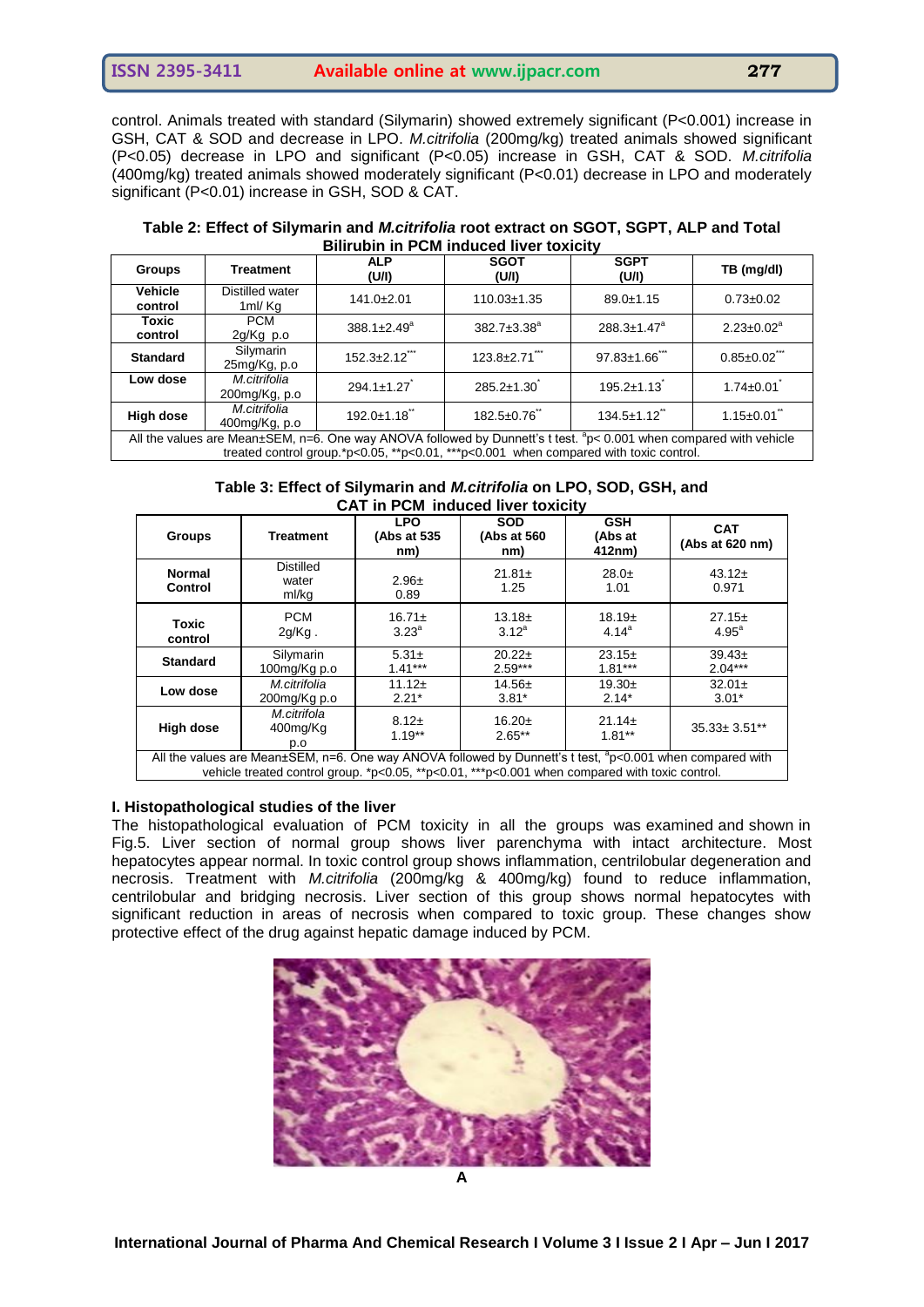# **ISSN 2395-3411 Available online at www.ijpacr.com 277**

control. Animals treated with standard (Silymarin) showed extremely significant (P<0.001) increase in GSH, CAT & SOD and decrease in LPO. *M.citrifolia* (200mg/kg) treated animals showed significant (P<0.05) decrease in LPO and significant (P<0.05) increase in GSH, CAT & SOD. *M.citrifolia*  (400mg/kg) treated animals showed moderately significant (P<0.01) decrease in LPO and moderately significant (P<0.01) increase in GSH, SOD & CAT.

| Table 2: Effect of Silymarin and <i>M.citrifolia</i> root extract on SGOT, SGPT, ALP and Total |
|------------------------------------------------------------------------------------------------|
| <b>Bilirubin in PCM induced liver toxicity</b>                                                 |

| <b>Groups</b>                                                                                                                  | <b>Treatment</b>              | <b>ALP</b><br>(U/I) | <b>SGOT</b><br>(U/I) | <b>SGPT</b><br>(U/I) | TB (mg/dl)        |
|--------------------------------------------------------------------------------------------------------------------------------|-------------------------------|---------------------|----------------------|----------------------|-------------------|
| <b>Vehicle</b><br>control                                                                                                      | Distilled water<br>1ml/Kg     | $141.0 \pm 2.01$    | $110.03 \pm 1.35$    | $89.0 \pm 1.15$      | $0.73 \pm 0.02$   |
| Toxic<br>control                                                                                                               | <b>PCM</b><br>$2q/Kq$ p.o.    | $388.1 \pm 2.49^a$  | $382.7 \pm 3.38^a$   | $288.3 \pm 1.47^a$   | $2.23 \pm 0.02^a$ |
| <b>Standard</b>                                                                                                                | Silymarin<br>$25mg/Kg$ , p.o. | $152.3 \pm 2.12$    | $123.8 \pm 2.71$     | $97.83 \pm 1.66$     | $0.85 \pm 0.02$ " |
| Low dose                                                                                                                       | M.citrifolia<br>200mg/Kg, p.o | $294.1 \pm 1.27$    | $285.2 \pm 1.30$     | $195.2 \pm 1.13$     | $1.74 \pm 0.01$   |
| High dose                                                                                                                      | M.citrifolia<br>400mg/Kg, p.o | $192.0 \pm 1.18$    | $182.5 \pm 0.76$     | $134.5 \pm 1.12$     | $1.15 \pm 0.01$   |
| All the values are Mean±SEM, n=6. One way ANOVA followed by Dunnett's t test. ${}^{\circ}P$ < 0.001 when compared with vehicle |                               |                     |                      |                      |                   |

treated control group.\*p<0.05, \*\*p<0.01, \*\*\*p<0.001 when compared with toxic control.

#### **Table 3: Effect of Silymarin and** *M.citrifolia* **on LPO, SOD, GSH, and CAT in PCM induced liver toxicity**

| <b>Groups</b>                                                                                                                                                                                                      | Treatment                          | <b>LPO</b><br>(Abs at 535)<br>nm) | <b>SOD</b><br>(Abs at 560<br>nm) | <b>GSH</b><br>(Abs at<br>412nm) | <b>CAT</b><br>(Abs at 620 nm) |
|--------------------------------------------------------------------------------------------------------------------------------------------------------------------------------------------------------------------|------------------------------------|-----------------------------------|----------------------------------|---------------------------------|-------------------------------|
| <b>Normal</b><br><b>Control</b>                                                                                                                                                                                    | <b>Distilled</b><br>water<br>ml/kg | $2.96 \pm$<br>0.89                | $21.81 \pm$<br>1.25              | $28.0+$<br>1.01                 | $43.12+$<br>0.971             |
| Toxic<br>control                                                                                                                                                                                                   | <b>PCM</b><br>$2q/Kq$ .            | $16.71 \pm$<br>$3.23^{a}$         | $13.18 \pm$<br>$3.12^a$          | $18.19+$<br>$4.14^{a}$          | $27.15 \pm$<br>$4.95^{\circ}$ |
| <b>Standard</b>                                                                                                                                                                                                    | Silymarin<br>100mg/Kg p.o          | $5.31 \pm$<br>$1.41***$           | $20.22+$<br>$2.59***$            | $23.15+$<br>$1.81***$           | $39.43 \pm$<br>$2.04***$      |
| Low dose                                                                                                                                                                                                           | M.citrifolia<br>200mg/Kg p.o       | $11.12+$<br>$2.21*$               | $14.56 \pm$<br>$3.81*$           | $19.30+$<br>$2.14*$             | $32.01 \pm$<br>$3.01*$        |
| High dose                                                                                                                                                                                                          | M.citrifola<br>400mg/Kg<br>p.o     | $8.12+$<br>$1.19**$               | $16.20 \pm$<br>$2.65**$          | $21.14 \pm$<br>$1.81**$         | $35.33 \pm 3.51$ **           |
| All the values are Mean±SEM, n=6. One way ANOVA followed by Dunnett's t test, ${}^{a}p<0.001$ when compared with<br>vehicle treated control group. *p<0.05, **p<0.01, ***p<0.001 when compared with toxic control. |                                    |                                   |                                  |                                 |                               |

# **I. Histopathological studies of the liver**

The histopathological evaluation of PCM toxicity in all the groups was examined and shown in Fig.5. Liver section of normal group shows liver parenchyma with intact architecture. Most hepatocytes appear normal. In toxic control group shows inflammation, centrilobular degeneration and necrosis. Treatment with *M.citrifolia* (200mg/kg & 400mg/kg) found to reduce inflammation, centrilobular and bridging necrosis. Liver section of this group shows normal hepatocytes with significant reduction in areas of necrosis when compared to toxic group. These changes show protective effect of the drug against hepatic damage induced by PCM.

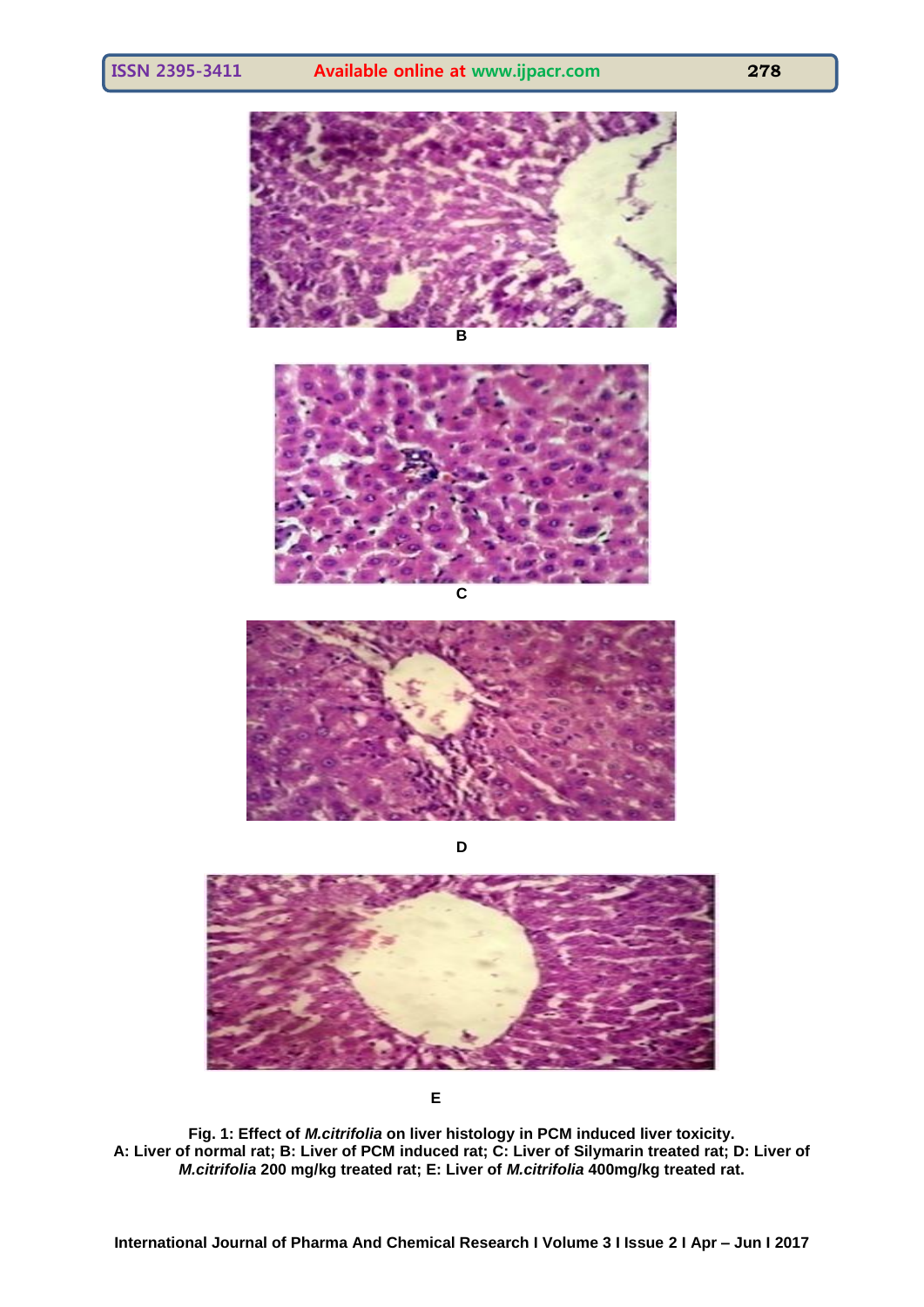

**B**



**D**



**E** 

**Fig. 1: Effect of** *M.citrifolia* **on liver histology in PCM induced liver toxicity. A: Liver of normal rat; B: Liver of PCM induced rat; C: Liver of Silymarin treated rat; D: Liver of**  *M.citrifolia* **200 mg/kg treated rat; E: Liver of** *M.citrifolia* **400mg/kg treated rat.**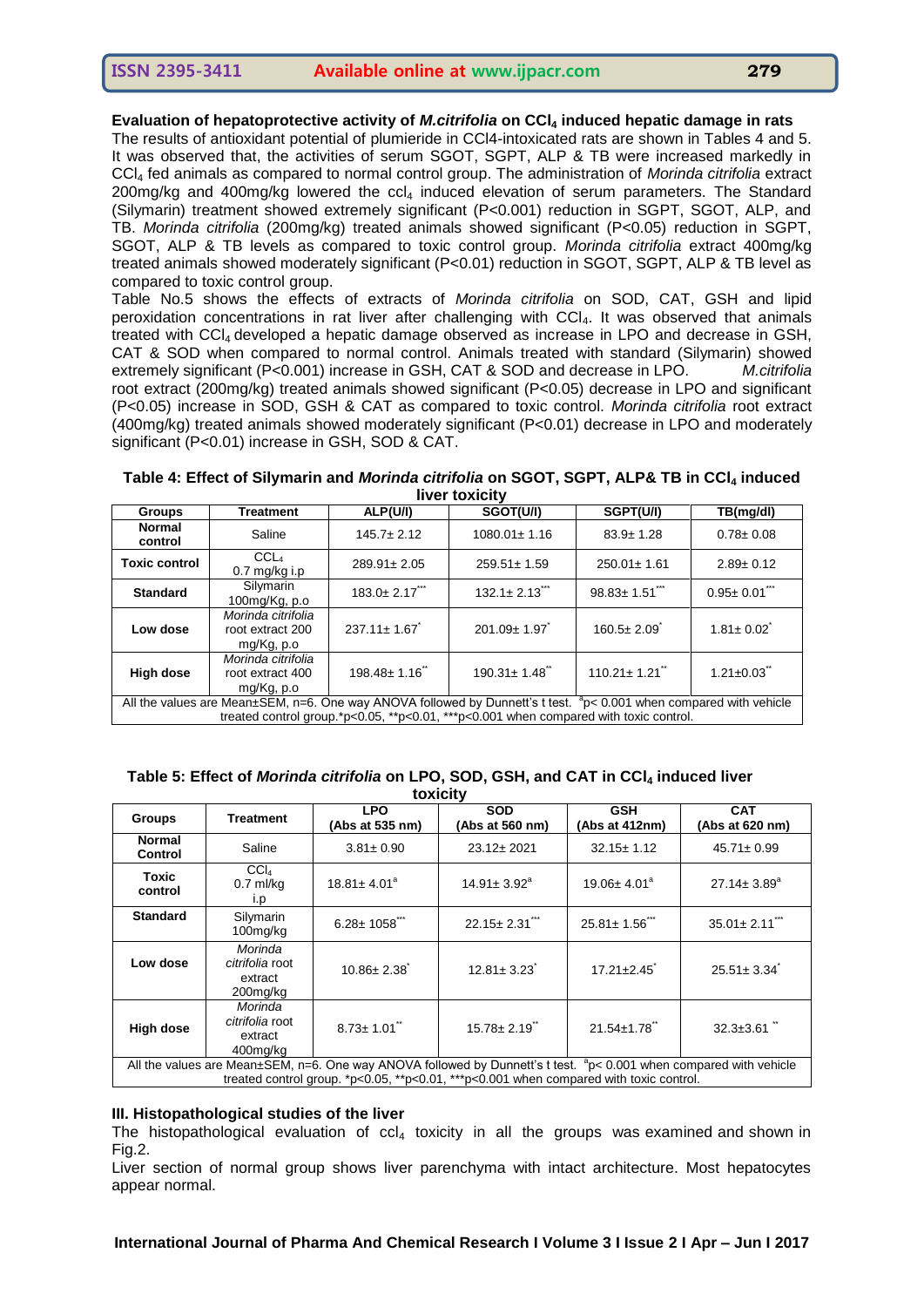**Evaluation of hepatoprotective activity of** *M.citrifolia* **on CCl<sup>4</sup> induced hepatic damage in rats**

The results of antioxidant potential of plumieride in CCl4-intoxicated rats are shown in Tables 4 and 5. It was observed that, the activities of serum SGOT, SGPT, ALP & TB were increased markedly in CCl<sup>4</sup> fed animals as compared to normal control group. The administration of *Morinda citrifolia* extract 200mg/kg and 400mg/kg lowered the  $ccl<sub>4</sub>$  induced elevation of serum parameters. The Standard (Silymarin) treatment showed extremely significant (P<0.001) reduction in SGPT, SGOT, ALP, and TB. *Morinda citrifolia* (200mg/kg) treated animals showed significant (P<0.05) reduction in SGPT, SGOT, ALP & TB levels as compared to toxic control group. *Morinda citrifolia* extract 400mg/kg treated animals showed moderately significant (P<0.01) reduction in SGOT, SGPT, ALP & TB level as compared to toxic control group.

Table No.5 shows the effects of extracts of *Morinda citrifolia* on SOD, CAT, GSH and lipid peroxidation concentrations in rat liver after challenging with CCl4. It was observed that animals treated with CCl4 developed a hepatic damage observed as increase in LPO and decrease in GSH, CAT & SOD when compared to normal control. Animals treated with standard (Silymarin) showed extremely significant (P<0.001) increase in GSH, CAT & SOD and decrease in LPO. *M.citrifolia*  root extract (200mg/kg) treated animals showed significant (P<0.05) decrease in LPO and significant (P<0.05) increase in SOD, GSH & CAT as compared to toxic control. *Morinda citrifolia* root extract (400mg/kg) treated animals showed moderately significant (P<0.01) decrease in LPO and moderately significant (P<0.01) increase in GSH, SOD & CAT.

| Table 4: Effect of Silymarin and <i>Morinda citrifolia</i> on SGOT, SGPT, ALP& TB in CCl <sub>4</sub> induced |                |  |  |
|---------------------------------------------------------------------------------------------------------------|----------------|--|--|
|                                                                                                               | liver toxicity |  |  |

| <b>Groups</b>                                                                                                                                                                                                              | <b>Treatment</b>                                     | ALP(U/I)                   | SGOT(U/I)                 | SGPT(U/I)                       | TB(mg/dl)       |
|----------------------------------------------------------------------------------------------------------------------------------------------------------------------------------------------------------------------------|------------------------------------------------------|----------------------------|---------------------------|---------------------------------|-----------------|
| <b>Normal</b><br>control                                                                                                                                                                                                   | Saline                                               | $145.7 \pm 2.12$           | $1080.01 \pm 1.16$        | $83.9 \pm 1.28$                 | $0.78 \pm 0.08$ |
| <b>Toxic control</b>                                                                                                                                                                                                       | CCL <sub>4</sub><br>$0.7$ mg/kg i.p                  | $289.91 \pm 2.05$          | $259.51 \pm 1.59$         | $250.01 \pm 1.61$               | $2.89 \pm 0.12$ |
| <b>Standard</b>                                                                                                                                                                                                            | Silymarin<br>100mg/Kg, p.o                           | $183.0 \pm 2.17$ ***       | $132.1 \pm 2.13$ ***      | $98.83 \pm 1.51$                | $0.95 \pm 0.01$ |
| Low dose                                                                                                                                                                                                                   | Morinda citrifolia<br>root extract 200<br>mg/Kg, p.o | $237.11 \pm 1.67$          | 201.09± 1.97 <sup>*</sup> | $160.5 \pm 2.09$                | $1.81 \pm 0.02$ |
| High dose                                                                                                                                                                                                                  | Morinda citrifolia<br>root extract 400<br>mg/Kg, p.o | 198.48± 1.16 <sup>"*</sup> | $190.31 \pm 1.48$         | $110.21 \pm 1.21$ <sup>**</sup> | $1.21 \pm 0.03$ |
| All the values are Mean±SEM, n=6. One way ANOVA followed by Dunnett's t test. $^9$ p< 0.001 when compared with vehicle<br>treated control group.*p< $0.05$ , **p< $0.01$ , ***p< $0.001$ when compared with toxic control. |                                                      |                            |                           |                                 |                 |

#### **Table 5: Effect of** *Morinda citrifolia* **on LPO, SOD, GSH, and CAT in CCl<sup>4</sup> induced liver toxicity**

| wandity                                                                                                                                                                                                                                                |                                                   |                               |                               |                              |                               |  |
|--------------------------------------------------------------------------------------------------------------------------------------------------------------------------------------------------------------------------------------------------------|---------------------------------------------------|-------------------------------|-------------------------------|------------------------------|-------------------------------|--|
| Groups                                                                                                                                                                                                                                                 | <b>Treatment</b>                                  | <b>LPO</b><br>(Abs at 535 nm) | <b>SOD</b><br>(Abs at 560 nm) | <b>GSH</b><br>(Abs at 412nm) | <b>CAT</b><br>(Abs at 620 nm) |  |
| <b>Normal</b><br>Control                                                                                                                                                                                                                               | Saline                                            | $3.81 \pm 0.90$               | 23.12± 2021                   | $32.15 \pm 1.12$             | $45.71 \pm 0.99$              |  |
| Toxic<br>control                                                                                                                                                                                                                                       | CCI <sub>4</sub><br>$0.7$ ml/kg<br>i.p            | $18.81 \pm 4.01^a$            | $14.91 \pm 3.92$ <sup>a</sup> | $19.06 \pm 4.01^a$           | $27.14 \pm 3.89^a$            |  |
| <b>Standard</b>                                                                                                                                                                                                                                        | Silymarin<br>$100$ mg/ $kg$                       | $6.28 \pm 1058$ ***           | $22.15 \pm 2.31$              | $25.81 \pm 1.56$ "           | $35.01 \pm 2.11$              |  |
| Low dose                                                                                                                                                                                                                                               | Morinda<br>citrifolia root<br>extract<br>200mg/kg | $10.86 \pm 2.38$              | $12.81 \pm 3.23$              | $17.21 \pm 2.45$             | $25.51 \pm 3.34$ <sup>*</sup> |  |
| <b>High dose</b>                                                                                                                                                                                                                                       | Morinda<br>citrifolia root<br>extract<br>400mg/kg | $8.73 \pm 1.01$               | $15.78 \pm 2.19$              | 21.54±1.78"                  | $32.3 \pm 3.61$ "             |  |
| All the values are Mean $\pm$ SEM, n=6. One way ANOVA followed by Dunnett's t test. ${}^{8}P$ $< 0.001$ when compared with vehicle<br>treated control group. $p < 0.05$ , $\star p < 0.01$ , $\star \star p < 0.001$ when compared with toxic control. |                                                   |                               |                               |                              |                               |  |

#### **III. Histopathological studies of the liver**

The histopathological evaluation of ccl<sub>4</sub> toxicity in all the groups was examined and shown in Fig.2.

Liver section of normal group shows liver parenchyma with intact architecture. Most hepatocytes appear normal.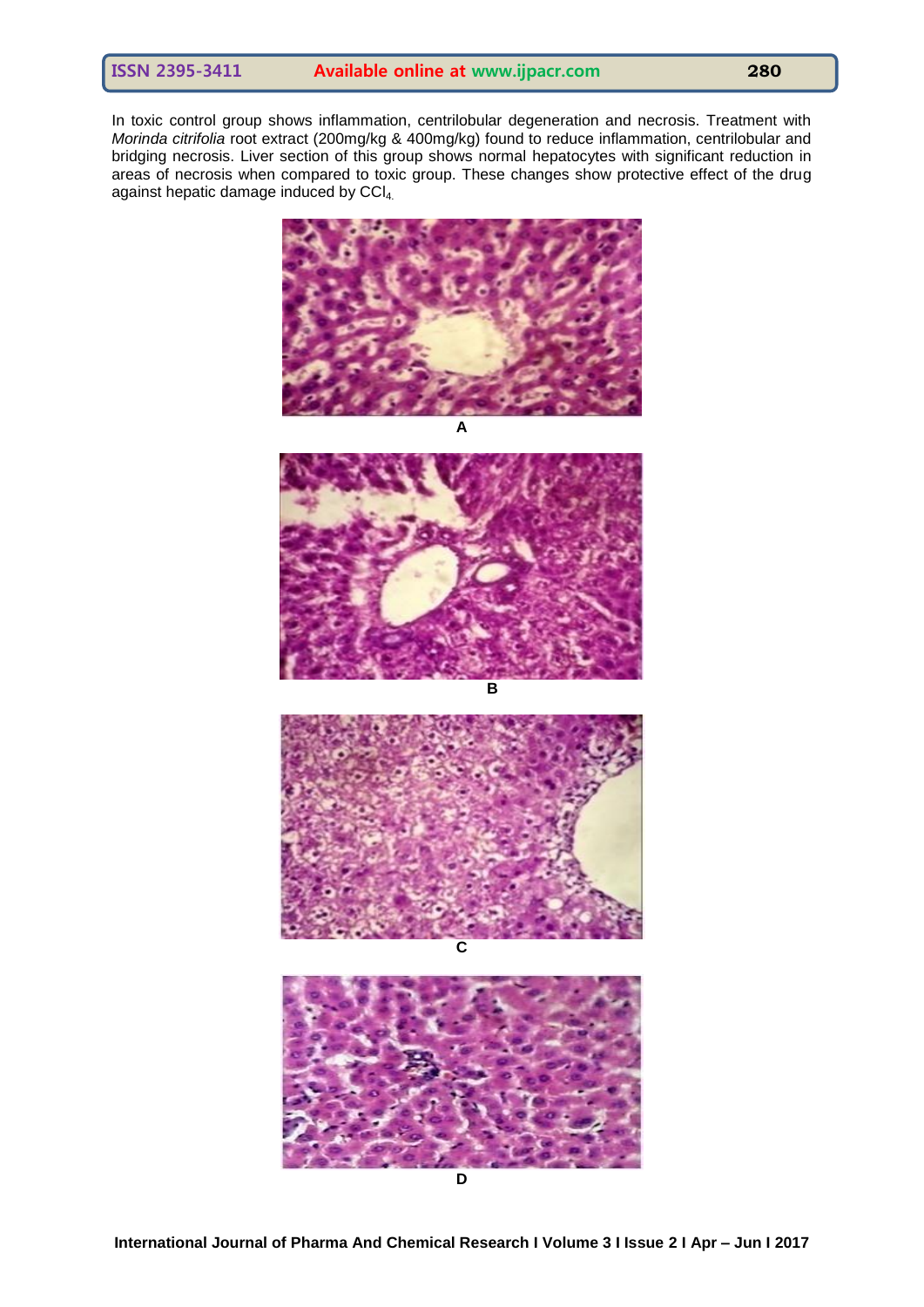In toxic control group shows inflammation, centrilobular degeneration and necrosis. Treatment with *Morinda citrifolia* root extract (200mg/kg & 400mg/kg) found to reduce inflammation, centrilobular and bridging necrosis. Liver section of this group shows normal hepatocytes with significant reduction in areas of necrosis when compared to toxic group. These changes show protective effect of the drug against hepatic damage induced by  $CCI_{4}$ .









**International Journal of Pharma And Chemical Research I Volume 3 I Issue 2 I Apr – Jun I 2017**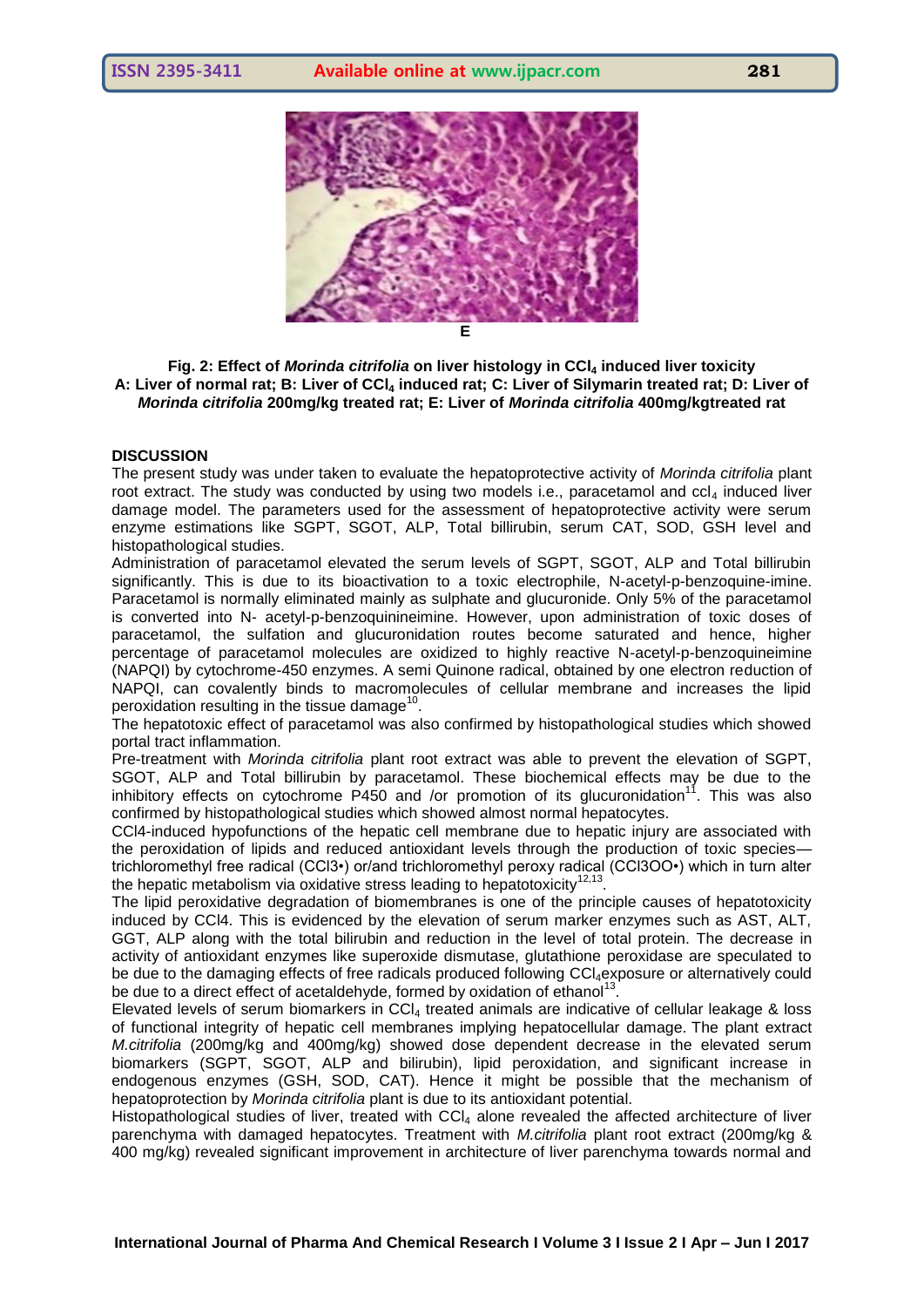

**Fig. 2: Effect of** *Morinda citrifolia* **on liver histology in CCl<sup>4</sup> induced liver toxicity A: Liver of normal rat; B: Liver of CCl<sup>4</sup> induced rat; C: Liver of Silymarin treated rat; D: Liver of**  *Morinda citrifolia* **200mg/kg treated rat; E: Liver of** *Morinda citrifolia* **400mg/kgtreated rat**

#### **DISCUSSION**

The present study was under taken to evaluate the hepatoprotective activity of *Morinda citrifolia* plant root extract. The study was conducted by using two models i.e., paracetamol and  $ccl<sub>4</sub>$  induced liver damage model. The parameters used for the assessment of hepatoprotective activity were serum enzyme estimations like SGPT, SGOT, ALP, Total billirubin, serum CAT, SOD, GSH level and histopathological studies.

Administration of paracetamol elevated the serum levels of SGPT, SGOT, ALP and Total billirubin significantly. This is due to its bioactivation to a toxic electrophile, N-acetyl-p-benzoquine-imine. Paracetamol is normally eliminated mainly as sulphate and glucuronide. Only 5% of the paracetamol is converted into N- acetyl-p-benzoquinineimine. However, upon administration of toxic doses of paracetamol, the sulfation and glucuronidation routes become saturated and hence, higher percentage of paracetamol molecules are oxidized to highly reactive N-acetyl-p-benzoquineimine (NAPQI) by cytochrome-450 enzymes. A semi Quinone radical, obtained by one electron reduction of NAPQI, can covalently binds to macromolecules of cellular membrane and increases the lipid peroxidation resulting in the tissue damage $^{10}$ .

The hepatotoxic effect of paracetamol was also confirmed by histopathological studies which showed portal tract inflammation.

Pre-treatment with *Morinda citrifolia* plant root extract was able to prevent the elevation of SGPT, SGOT, ALP and Total billirubin by paracetamol. These biochemical effects may be due to the inhibitory effects on cytochrome  $P$ 450 and /or promotion of its glucuronidation<sup>11</sup>. This was also confirmed by histopathological studies which showed almost normal hepatocytes.

CCl4-induced hypofunctions of the hepatic cell membrane due to hepatic injury are associated with the peroxidation of lipids and reduced antioxidant levels through the production of toxic species trichloromethyl free radical (CCl3•) or/and trichloromethyl peroxy radical (CCl3OO•) which in turn alter the hepatic metabolism via oxidative stress leading to hepatotoxicity $12,13$ .

The lipid peroxidative degradation of biomembranes is one of the principle causes of hepatotoxicity induced by CCl4. This is evidenced by the elevation of serum marker enzymes such as AST, ALT, GGT, ALP along with the total bilirubin and reduction in the level of total protein. The decrease in activity of antioxidant enzymes like superoxide dismutase, glutathione peroxidase are speculated to be due to the damaging effects of free radicals produced following CCI<sub>4</sub>exposure or alternatively could be due to a direct effect of acetaldehyde, formed by oxidation of ethanol<sup>13</sup>.

Elevated levels of serum biomarkers in CCl<sub>4</sub> treated animals are indicative of cellular leakage & loss of functional integrity of hepatic cell membranes implying hepatocellular damage. The plant extract *M.citrifolia* (200mg/kg and 400mg/kg) showed dose dependent decrease in the elevated serum biomarkers (SGPT, SGOT, ALP and bilirubin), lipid peroxidation, and significant increase in endogenous enzymes (GSH, SOD, CAT). Hence it might be possible that the mechanism of hepatoprotection by *Morinda citrifolia* plant is due to its antioxidant potential.

Histopathological studies of liver, treated with  $CCI<sub>4</sub>$  alone revealed the affected architecture of liver parenchyma with damaged hepatocytes. Treatment with *M.citrifolia* plant root extract (200mg/kg & 400 mg/kg) revealed significant improvement in architecture of liver parenchyma towards normal and